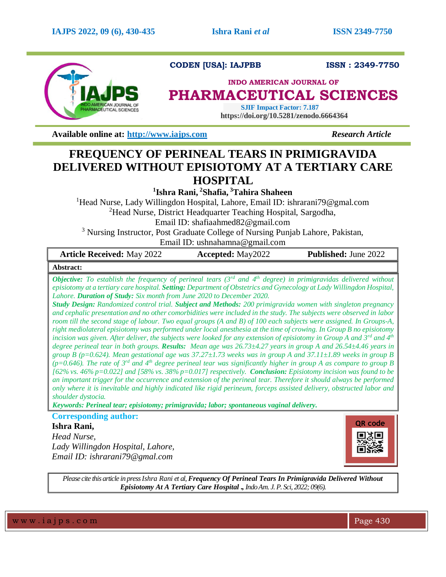

## **CODEN [USA]: IAJPBB ISSN : 2349-7750**

## **INDO AMERICAN JOURNAL OF**

# **PHARMACEUTICAL SCIENCES**

 **SJIF Impact Factor: 7.187 https://doi.org/10.5281/zenodo.6664364**

**Available online at:** [http://www.iajps.com](http://www.iajps.com/) *Research Article* 

# **FREQUENCY OF PERINEAL TEARS IN PRIMIGRAVIDA DELIVERED WITHOUT EPISIOTOMY AT A TERTIARY CARE HOSPITAL**

**1 Ishra Rani, <sup>2</sup>Shafia, <sup>3</sup>Tahira Shaheen**

<sup>1</sup>Head Nurse, Lady Willingdon Hospital, Lahore, Email ID: [ishrarani79@gmal.com](mailto:ishrarani79@gmal.com) <sup>2</sup>Head Nurse, District Headquarter Teaching Hospital, Sargodha, Email ID: [shafiaahmed82@gmail.com](mailto:shafiaahmed82@gmail.com)

<sup>3</sup> Nursing Instructor, Post Graduate College of Nursing Punjab Lahore, Pakistan, Email ID: [ushnahamna@gmail.com](mailto:ushnahamna@gmail.com)

| <b>Article Received: May 2022</b>                                                                                                                                                                                                                                                                                                                                                                                                                                                                                                                                                                                                                                                                                                                                                                                                                                                                                                                                                                                                                                                                                                                                                                                                                                                                                                                                                                                                                                                                                                                                                                                                                                                                                                                        | <b>Accepted:</b> May2022 | <b>Published: June 2022</b> |
|----------------------------------------------------------------------------------------------------------------------------------------------------------------------------------------------------------------------------------------------------------------------------------------------------------------------------------------------------------------------------------------------------------------------------------------------------------------------------------------------------------------------------------------------------------------------------------------------------------------------------------------------------------------------------------------------------------------------------------------------------------------------------------------------------------------------------------------------------------------------------------------------------------------------------------------------------------------------------------------------------------------------------------------------------------------------------------------------------------------------------------------------------------------------------------------------------------------------------------------------------------------------------------------------------------------------------------------------------------------------------------------------------------------------------------------------------------------------------------------------------------------------------------------------------------------------------------------------------------------------------------------------------------------------------------------------------------------------------------------------------------|--------------------------|-----------------------------|
| Abstract:                                                                                                                                                                                                                                                                                                                                                                                                                                                                                                                                                                                                                                                                                                                                                                                                                                                                                                                                                                                                                                                                                                                                                                                                                                                                                                                                                                                                                                                                                                                                                                                                                                                                                                                                                |                          |                             |
| <b>Objective:</b> To establish the frequency of perineal tears $(3^{rd}$ and $4^{th}$ degree) in primigravidas delivered without<br>episiotomy at a tertiary care hospital. Setting: Department of Obstetrics and Gynecology at Lady Willingdon Hospital,<br>Lahore. Duration of Study: Six month from June 2020 to December 2020.<br><b>Study Design:</b> Randomized control trial. <b>Subject and Methods:</b> 200 primigravida women with singleton pregnancy<br>and cephalic presentation and no other comorbidities were included in the study. The subjects were observed in labor<br>room till the second stage of labour. Two equal groups (A and B) of 100 each subjects were assigned. In Groups-A,<br>right mediolateral episiotomy was performed under local anesthesia at the time of crowing. In Group B no episiotomy<br>incision was given. After deliver, the subjects were looked for any extension of episiotomy in Group A and $3^{rd}$ and $4^{th}$<br>degree perineal tear in both groups. Results: Mean age was 26.73±4.27 years in group A and 26.54±4.46 years in<br>group B ( $p=0.624$ ). Mean gestational age was 37.27±1.73 weeks was in group A and 37.11±1.89 weeks in group B<br>(p=0.646). The rate of 3 <sup>rd</sup> and 4 <sup>th</sup> degree perineal tear was significantly higher in group A as compare to group B<br>[62% vs. 46% p=0.022] and [58% vs. 38% p=0.017] respectively. <b>Conclusion:</b> Episiotomy incision was found to be<br>an important trigger for the occurrence and extension of the perineal tear. Therefore it should always be performed<br>only where it is inevitable and highly indicated like rigid perineum, forceps assisted delivery, obstructed labor and<br>shoulder dystocia. |                          |                             |

*Keywords: Perineal tear; episiotomy; primigravida; labor; spontaneous vaginal delivery.* 

**Corresponding author:** 

**Ishra Rani,**

*Head Nurse, Lady Willingdon Hospital, Lahore, Email ID: [ishrarani79@gmal.com](mailto:ishrarani79@gmal.com)*



*Please cite this article in press Ishra Rani et al, Frequency Of Perineal Tears In Primigravida Delivered Without Episiotomy At A Tertiary Care Hospital ., Indo Am. J. P. Sci, 2022; 09(6).*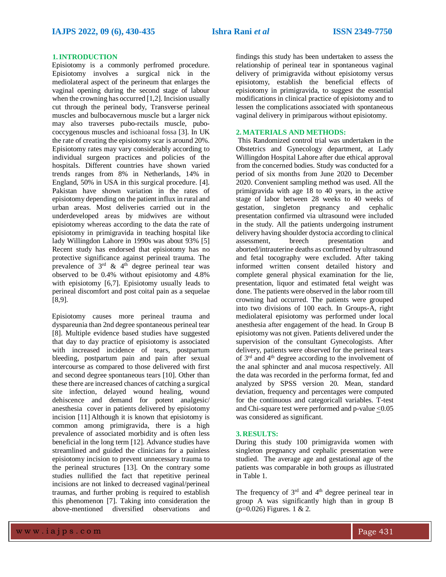#### **1.INTRODUCTION**

Episiotomy is a commonly perfromed procedure. Episiotomy involves a surgical nick in the mediolateral aspect of the perineum that enlarges the vaginal opening during the second stage of labour when the crowning has occurred [1,2]. Incision usually cut through the perineal body, Transverse perineal muscles and bulbocavernous muscle but a larger nick may also traverses pubo-rectails muscle, pubococcygenous muscles and ischioanal fossa [3]. In UK the rate of creating the episiotomy scar is around 20%. Episiotomy rates may vary considerably according to individual surgeon practices and policies of the hospitals. Different countries have shown varied trends ranges from 8% in Netherlands, 14% in England, 50% in USA in this surgical procedure. [4]. Pakistan have shown variation in the rates of episiotomy depending on the patient influx in rural and urban areas. Most deliveries carried out in the underdeveloped areas by midwives are without episiotomy whereas according to the data the rate of episiotomy in primigravida in teaching hospital like lady Willingdon Lahore in 1990s was about 93% [5] Recent study has endorsed that episiotomy has no protective significance against perineal trauma. The prevalence of  $3<sup>rd</sup>$  &  $4<sup>th</sup>$  degree perineal tear was observed to be 0.4% without episiotomy and 4.8% with episiotomy [6,7]. Episiotomy usually leads to perineal discomfort and post coital pain as a sequelae [8,9].

Episiotomy causes more perineal trauma and dyspareunia than 2nd degree spontaneous perineal tear [8]. Multiple evidence based studies have suggested that day to day practice of episiotomy is associated with increased incidence of tears, postpartum bleeding, postpartum pain and pain after sexual intercourse as compared to those delivered with first and second degree spontaneous tears [10]. Other than these there are increased chances of catching a surgical site infection, delayed wound healing, wound dehiscence and demand for potent analgesic/ anesthesia cover in patients delivered by episiotomy incision [11] Although it is known that episiotomy is common among primigravida, there is a high prevalence of associated morbidity and is often less beneficial in the long term [12]. Advance studies have streamlined and guided the clinicians for a painless episiotomy incision to prevent unnecessary trauma to the perineal structures [13]. On the contrary some studies nullified the fact that repetitive perineal incisions are not linked to decreased vaginal/perineal traumas, and further probing is required to establish this phenomenon [7]. Taking into consideration the above-mentioned diversified observations and

findings this study has been undertaken to assess the relationship of perineal tear in spontaneous vaginal delivery of primigravida without episiotomy versus episiotomy, establish the beneficial effects of episiotomy in primigravida, to suggest the essential modifications in clinical practice of episiotomy and to lessen the complications associated with spontaneous vaginal delivery in primiparous without episiotomy.

#### **2.MATERIALS AND METHODS:**

This Randomized control trial was undertaken in the Obstetrics and Gynecology department, at Lady Willingdon Hospital Lahore after due ethical approval from the concerned bodies. Study was conducted for a period of six months from June 2020 to December 2020. Convenient sampling method was used. All the primigravida with age 18 to 40 years, in the active stage of labor between 28 weeks to 40 weeks of gestation, singleton pregnancy and cephalic presentation confirmed via ultrasound were included in the study. All the patients undergoing instrument delivery having shoulder dystocia according to clinical assessment, breech presentation and aborted/intrauterine deaths as confirmed by ultrasound and fetal tocography were excluded. After taking informed written consent detailed history and complete general physical examination for the lie, presentation, liquor and estimated fetal weight was done. The patients were observed in the labor room till crowning had occurred. The patients were grouped into two divisions of 100 each. In Groups-A, right mediolateral episiotomy was performed under local anesthesia after engagement of the head. In Group B episiotomy was not given. Patients delivered under the supervision of the consultant Gynecologists. After delivery, patients were observed for the perineal tears of  $3<sup>rd</sup>$  and  $4<sup>th</sup>$  degree according to the involvement of the anal sphincter and anal mucosa respectively. All the data was recorded in the performa format, fed and analyzed by SPSS version 20. Mean, standard deviation, frequency and percentages were computed for the continuous and categoricall variables. T-test and Chi-square test were performed and p-value  $\leq 0.05$ was considered as significant.

### **3. RESULTS:**

During this study 100 primigravida women with singleton pregnancy and cephalic presentation were studied. The average age and gestational age of the patients was comparable in both groups as illustrated in Table 1.

The frequency of  $3<sup>rd</sup>$  and  $4<sup>th</sup>$  degree perineal tear in group A was significantly high than in group B  $(p=0.026)$  Figures. 1 & 2.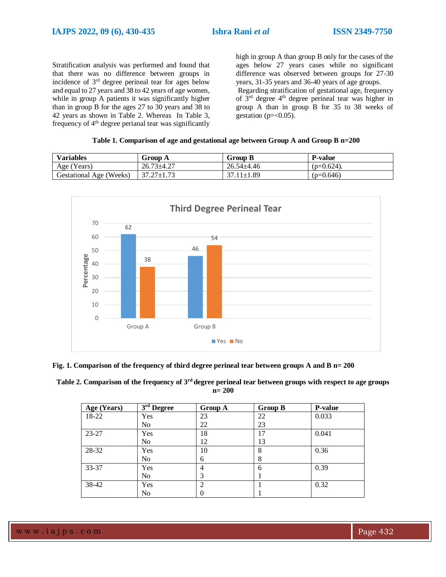Stratification analysis was performed and found that that there was no difference between groups in incidence of 3rd degree perineal tear for ages below and equal to 27 years and 38 to 42 years of age women, while in group A patients it was significantly higher than in group B for the ages 27 to 30 years and 38 to 42 years as shown in Table 2. Whereas In Table 3, frequency of  $4<sup>th</sup>$  degree perianal tear was significantly high in group A than group B only for the cases of the ages below 27 years cases while no significant difference was observed between groups for 27-30 years, 31-35 years and 36-40 years of age groups.

Regarding stratification of gestational age, frequency of 3<sup>rd</sup> degree 4<sup>th</sup> degree perineal tear was higher in group A than in group B for 35 to 38 weeks of gestation ( $p = < 0.05$ ).

|  |  |  | Table 1. Comparison of age and gestational age between Group A and Group B n=200 |
|--|--|--|----------------------------------------------------------------------------------|
|  |  |  |                                                                                  |

| <b>Variables</b>        | Group A          | <b>Group B</b>   | <b>P-value</b> |
|-------------------------|------------------|------------------|----------------|
| Age (Years)             | $26.73 \pm 4.27$ | $26.54 \pm 4.46$ | $(p=0.624)$ .  |
| Gestational Age (Weeks) | $37.27 \pm 1.73$ | $37.11 \pm 1.89$ | $(p=0.646)$    |



**Fig. 1. Comparison of the frequency of third degree perineal tear between groups A and B n= 200**

**Table 2. Comparison of the frequency of 3rd degree perineal tear between groups with respect to age groups n= 200**

| Age (Years) | $3rd$ Degree   | Group A | <b>Group B</b> | <b>P-value</b> |
|-------------|----------------|---------|----------------|----------------|
| 18-22       | Yes            | 23      | 22             | 0.033          |
|             | No             | 22      | 23             |                |
| 23-27       | Yes            | 18      | 17             | 0.041          |
|             | N <sub>o</sub> | 12      | 13             |                |
| 28-32       | Yes            | 10      | 8              | 0.36           |
|             | N <sub>o</sub> | 6       | 8              |                |
| 33-37       | Yes            | 4       | 6              | 0.39           |
|             | No             | 3       |                |                |
| 38-42       | Yes            | ↑       |                | 0.32           |
|             | No             |         |                |                |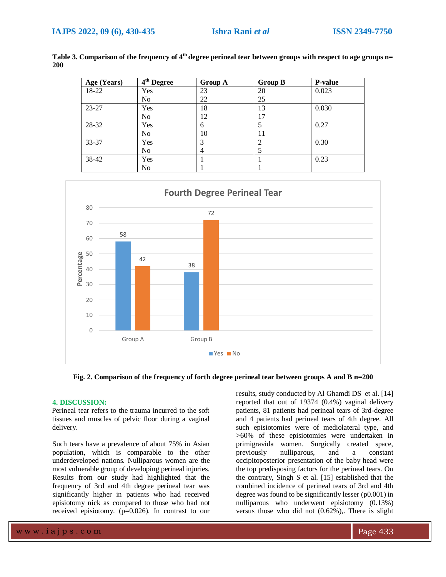| Age (Years) | 4 <sup>th</sup> Degree | Group A | <b>Group B</b> | <b>P-value</b> |
|-------------|------------------------|---------|----------------|----------------|
| 18-22       | Yes                    | 23      | 20             | 0.023          |
|             | No                     | 22      | 25             |                |
| 23-27       | Yes                    | 18      | 13             | 0.030          |
|             | No                     | 12      | 17             |                |
| 28-32       | Yes                    | 6       |                | 0.27           |
|             | No.                    | 10      | 11             |                |
| 33-37       | Yes                    | 3       | 2              | 0.30           |
|             | No.                    | 4       |                |                |
| 38-42       | Yes                    |         |                | 0.23           |
|             | No                     |         |                |                |

**Table 3. Comparison of the frequency of 4th degree perineal tear between groups with respect to age groups n= 200** 



**Fig. 2. Comparison of the frequency of forth degree perineal tear between groups A and B n=200**

#### **4. DISCUSSION:**

Perineal tear refers to the trauma incurred to the soft tissues and muscles of pelvic floor during a vaginal delivery.

Such tears have a prevalence of about 75% in Asian population, which is comparable to the other underdeveloped nations. Nulliparous women are the most vulnerable group of developing perineal injuries. Results from our study had highlighted that the frequency of 3rd and 4th degree perineal tear was significantly higher in patients who had received episiotomy nick as compared to those who had not received episiotomy. (p=0.026). In contrast to our

results, study conducted by Al Ghamdi DS et al. [14] reported that out of 19374 (0.4%) vaginal delivery patients, 81 patients had perineal tears of 3rd-degree and 4 patients had perineal tears of 4th degree. All such episiotomies were of mediolateral type, and >60% of these episiotomies were undertaken in primigravida women. Surgically created space, previously nulliparous, and a constant occipitoposterior presentation of the baby head were the top predisposing factors for the perineal tears. On the contrary, Singh S et al. [15] established that the combined incidence of perineal tears of 3rd and 4th degree was found to be significantly lesser (p0.001) in nulliparous who underwent episiotomy (0.13%) versus those who did not (0.62%),. There is slight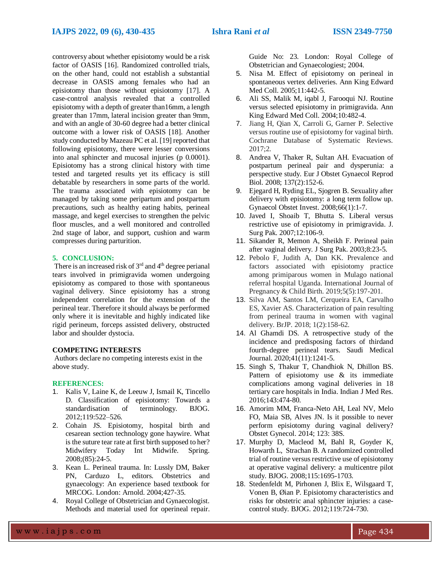controversy about whether episiotomy would be a risk factor of OASIS [16]. Randomized controlled trials, on the other hand, could not establish a substantial decrease in OASIS among females who had an episiotomy than those without episiotomy [17]. A case-control analysis revealed that a controlled episiotomy with a depth of greater than16mm, a length greater than 17mm, lateral incision greater than 9mm, and with an angle of 30-60 degree had a better clinical outcome with a lower risk of OASIS [18]. Another study conducted by Mazeau PC et al. [19] reported that following episiotomy, there were lesser conversions into anal sphincter and mucosal injuries (p 0.0001). Episiotomy has a strong clinical history with time tested and targeted results yet its efficacy is still debatable by researchers in some parts of the world. The trauma associated with episiotomy can be managed by taking some peripartum and postpartum precautions, such as healthy eating habits, perineal massage, and kegel exercises to strengthen the pelvic floor muscles, and a well monitored and controlled 2nd stage of labor, and support, cushion and warm compresses during parturition.

#### **5. CONCLUSION:**

There is an increased risk of 3<sup>rd</sup> and 4<sup>th</sup> degree perianal tears involved in primigravida women undergoing episiotomy as compared to those with spontaneous vaginal delivery. Since episiotomy has a strong independent correlation for the extension of the perineal tear. Therefore it should always be performed only where it is inevitable and highly indicated like rigid perineum, forceps assisted delivery, obstructed labor and shoulder dystocia.

#### **COMPETING INTERESTS**

Authors declare no competing interests exist in the above study.

#### **REFERENCES:**

- 1. Kalis V, Laine K, de Leeuw J, Ismail K, Tincello D. Classification of episiotomy: Towards a standardisation of terminology. BJOG. 2012;119:522–526.
- 2. Cohain JS. Episiotomy, hospital birth and cesarean section technology gone haywire. What is the suture tear rate at first birth supposed to her? Midwifery Today Int Midwife. Spring. 2008;(85):24-5.
- 3. Kean L. Perineal trauma. In: Lussly DM, Baker PN, Carduzo L, editors. Obstetrics and gynaecology: An experience based textbook for MRCOG. London: Arnold. 2004;427-35.
- 4. Royal College of Obstetrician and Gynaecologist. Methods and material used for operineal repair.

Guide No: 23. London: Royal College of Obstetrician and Gynaecologiest; 2004.

- 5. Nisa M. Effect of episiotomy on perineal in spontaneous vertex deliveries. Ann King Edward Med Coll. 2005;11:442-5.
- 6. Ali SS, Malik M, iqabl J, Farooqui NJ. Routine versus selected episiotomy in primigravida. Ann King Edward Med Coll. 2004;10:482-4.
- 7. Jiang H, Qian X, Carroli G, Garner P. Selective versus routine use of episiotomy for vaginal birth. Cochrane Database of Systematic Reviews. 2017;2.
- 8. Andrea V, Thaker R, Sultan AH. Evacuation of postpartum perineal pair and dysperunia: a perspective study. Eur J Obstet Gynaecol Reprod Biol. 2008; 137(2):152-6.
- 9. Ejegard H, Ryding EL, Sjogren B. Sexuality after delivery with episiotomy: a long term follow up. Gynaecol Obstet Invest. 2008;66(1):1-7.
- 10. Javed I, Shoaib T, Bhutta S. Liberal versus restrictive use of episiotomy in primigravida. J. Surg Pak. 2007;12:106-9.
- 11. Sikander R, Memon A, Sheikh F. Perineal pain after vaginal delivery. J Surg Pak. 2003;8:23-5.
- 12. Pebolo F, Judith A, Dan KK. Prevalence and factors associated with episiotomy practice among primiparous women in Mulago national referral hospital Uganda. International Journal of Pregnancy & Child Birth. 2019;5(5):197-201.
- 13. Silva AM, Santos LM, Cerqueira EA, Carvalho ES, Xavier AS. Characterization of pain resulting from perineal trauma in women with vaginal delivery. BrJP. 2018; 1(2):158-62.
- 14. Al Ghamdi DS. A retrospective study of the incidence and predisposing factors of thirdand fourth-degree perineal tears. Saudi Medical Journal. 2020;41(11):1241-5.
- 15. Singh S, Thakur T, Chandhiok N, Dhillon BS. Pattern of episiotomy use & its immediate complications among vaginal deliveries in 18 tertiary care hospitals in India. Indian J Med Res. 2016;143:474-80.
- 16. Amorim MM, Franca-Neto AH, Leal NV, Melo FO, Maia SB, Alves JN. Is it possible to never perform episiotomy during vaginal delivery? Obstet Gynecol. 2014; 123: 38S.
- 17. Murphy D, Macleod M, Bahl R, Goyder K, Howarth L, Strachan B. A randomized controlled trial of routine versus restrictive use of episiotomy at operative vaginal delivery: a multicentre pilot study. BJOG. 2008;115:1695-1703.
- 18. Stedenfeldt M, Pirhonen J, Blix E, Wilsgaard T, Vonen B, Øian P. Episiotomy characteristics and risks for obstetric anal sphincter injuries: a casecontrol study. BJOG. 2012;119:724-730.